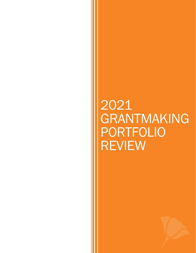## 2021 GRANTMAKING PORTFOLIO REVIEW

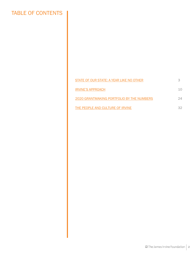## TABLE OF CONTENTS

| STATE OF OUR STATE: A YEAR LIKE NO OTHER  |    |
|-------------------------------------------|----|
| <b>IRVINE'S APPROACH</b>                  | 10 |
| 2020 GRANTMAKING PORTFOLIO BY THE NUMBERS | ク4 |
| THE PEOPLE AND CULTURE OF IRVINE          | 32 |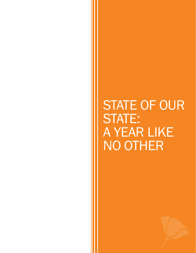## <span id="page-2-0"></span>STATE OF OUR STATE: A YEAR LIKE NO OTHER

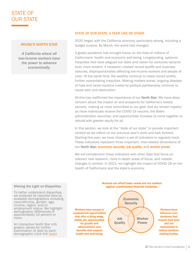## STATE OF OUR STATE

#### IRVINE'S NORTH STAR

*A California where all low-income workers have the power to advance economically.*

#### STATE OF OUR STATE: A YEAR LIKE NO OTHER

2020 began with the California economy particularly strong, including a budget surplus. By March, the world had changed.

A global pandemic has wrought havoc on the lives of millions of Californians' health and economic well-being. Longstanding, systemic inequities that have plagued our state and nation for centuries became even more evident. A recession created record layoffs and business closures, disproportionately affecting low-income workers and people of color. At the same time, the wealthy continue to make record profits, further exacerbating inequities. Making matters worse, ongoing displays of hate and racial injustice fueled by political partisanship continue to cause pain and destruction.

All this has reaffirmed the importance of our **North Star**. We have deep concern about the impact on and prospects for California's lowest earners, making us more committed to our goal. And we remain hopeful as more individuals receive the COVID-19 vaccine, the Biden administration launches, and opportunities increase to come together to rebuild with greater equity for all.

In this section, we look at the "state of our state" to provide important context as we reflect on our previous year's work and look forward. Starting this year, we have chosen a set of indicators to regularly track. These indicators represent three important, inter-related dimensions of our North Star: economic security, job quality, and worker power.

We will complement these indicators with other data that focus on relevant new research, more in-depth areas of focus, and notable changes in context. In 2021, we highlight the impact of COVID-19 on the health of Californians and the state's economy.



## **E** The James Irvine Foundation | 4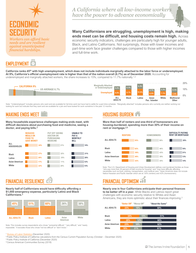

*needs and are resilient against unanticipated financial hardships.*

## **EMPI NYMEN**

*A California where all low-income workers have the power to advance economically*

#### **Many Californians are struggling, unemployment is high, making ends meet can be difficult, and housing costs remain high.** Across economic security indicators, challenges are particularly high for younger adults,

Black, and Latino Californians. Not surprisingly, those with lower incomes and part-time work face greater challenges compared to those with higher incomes and full-time work.

**California ranks 45th with high unemployment, which does not include individuals marginally attached to the labor force or underemployed.**  At 9%, California's official unemployment rate is higher than that of the nation overall (6.7%) as of December 2020. Accounting for underemployed and marginally attached workers, the share increases to 15%, compared to 11.7% nationally.<sup>1,2</sup>



Note: "Underemployed" includes persons who want and are available for full-time work but have had to settle for a part-time schedule. "Marginally attached" includes persons who currently are neither working nor looking for work but indicate that they want and are available for a job and have looked for work sometime in the past 12 months.

### **MAKING ENDS MEET**

**Many households experience challenges making ends meet, with difficult decisions about purchasing food and medicine, seeing a doctor, and paying bills.<sup>3</sup>**



## **FINANCIAL RESILIENCE**

**Nearly half of Californians would have difficulty affording a \$1,000 emergency expense, particularly Latino and Black Californians.<sup>3</sup>**

|                   | 51%          |        | 26%               | 38%   |
|-------------------|--------------|--------|-------------------|-------|
|                   |              |        |                   |       |
| <b>ALL ADULTS</b> | <b>Black</b> | Latino | Asian<br>American | White |

Note: This includes survey respondents who chose "somewhat difficult," "very difficult," and "nearly impossible." It excludes those who chose "not too difficult" or "don't know.

#### <sup>1</sup> [Bureau of Labor Statistics](https://www.bls.gov/news.release/empsit.t15.htm) (December 2020)

<sup>2</sup> Public Policy Institute of California calculations from the Census Current Population Survey (October – December 2020)

<sup>3</sup> Public Policy Institute of California (December 2020)

<sup>4</sup>Census American Communities Survey (2018)

## **HOUSING BURDEN**

**More than half of renters and one-third of homeowners are housing-burdened, spending more than 30% of their income on rent or mortgage.3,4**



Note: The U.S. Department of Housing and Urban Development defines cost-burdened families as those<br>"who pay more than 30 percent of their income for housing" and "may have difficulty affording<br>necessities such as food, clo Native Hawaiian and Pacific Islander which are at: 50% (renters) and 42% (homeowners).

## **FINANCIAL OPTIMISM**

#### **Nearly one in four Californians anticipate their personal finances to be better off in a year.** While Blacks and Latinos report great challenges with economic security relative to Whites and Asian Americans, they are more optimistic about their finances improving.<sup>3</sup>

|                   | "Better Off" "Worse Off" |     | "About the Same" |
|-------------------|--------------------------|-----|------------------|
| <b>ALL ADULTS</b> | 23%                      | 16% | 60%              |
|                   |                          |     |                  |
| <b>Black</b>      | 34%                      | 15% | 51%              |
| Latino            | 28%                      | 12% | 60%              |
| Asian American    | 23%                      | 16% | 62%              |
| White             | 18%                      | 21% | 61%              |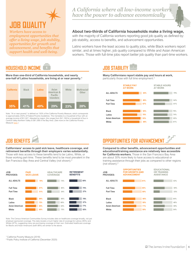# **DB QUALIT**

*Workers have access to employment opportunities that offer a living wage, job stability, opportunities for growth and advancement, and benefits that support health and well-being.* 

*A California where all low-income workers have the power to advance economically*

#### **About two-thirds of California households make a living wage,**

with the majority of California workers reporting good job quality as defined by: job stability, access to benefits, and advancement opportunities.

Latino workers have the least access to quality jobs, while Black workers report similar, and at times higher, job quality compared to White and Asian American workers. Those with full-time jobs report better job quality than part-time workers.

## **HOUSEHOLD INCOME**

**More than one-third of California households, and nearly one-half of Latino households, are living at or near poverty.<sup>1</sup>**



Note: "At or near poverty" is defined as 150% of the California Poverty Measure, which corresponds to approximately 250% of Federal Poverty Guidelines. This translates to a household of four with an average income of \$51,927. Adjusted by region, this ranges from \$41,169 for a household of four in Central Valley-Northern Valley to \$61,068 in the Bay Area. (*See more on the California Poverty Measure [here](https://www.ppic.org/publication/the-california-poverty-measure-a-new-look-at-the-social-safety-net/).*)

## **JOB BENEFITS**

**Californians' access to paid sick leave, healthcare coverage, and retirement benefits through their employers varies substantially.**  Those with less access to these benefits tend to be Latino, White, or those working part-time. These benefits tend to be most prevalent in the San Francisco Bay Area and Central Valley (not shown).<sup>2</sup>



Note: The Census American Communities Survey includes data on healthcare coverage broadly, not just employer-sponsored coverage. This data reveals a much higher rate of coverage for Latinos (95%) and Whites (87%), suggesting many are purchasing coverage on their own. Estimated healthcare coverage for Blacks and Asian Americans (both 88%) are similar to the above.

## **JOB STABILITY**

**Many Californians report stable pay and hours at work,**  particularly those with full time employment.<sup>2</sup>



## **OPPORTUNITIES FOR ADVANCEMENT**

**Compared to other benefits, advancement opportunities and educational/training assistance are relatively less accessible for California workers.** Those in the San Francisco Bay Area are about 30% more likely to have access to educational or training assistance through their jobs as compared to other regions (not shown).<sup>2</sup>



<sup>1</sup>California Poverty Measure (2018)

<sup>2</sup>Public Policy Institute of California (December 2020)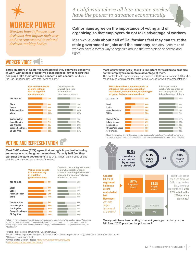

## **WORKER POWER**

*Workers have influence over decisions that impact their lives and are represented in related decision-making bodies.* 

### *A California where all low-income workers have the power to advance economically*

#### **Californians agree on the importance of voting and of organizing so that employers do not take advantage of workers.**

Meanwhile, **only about half of Californians feel they can trust the state government on jobs and the economy**, and about one-third of workers have a formal way to organize around their workplace concerns and rights.

### **WORKER VOICE**

**Three-quarters of California workers feel they can voice concerns at work without fear of negative consequences; fewer report that decisions take their views and concerns into account.** Workers in the San Francisco Bay Area rate lower on both.<sup>1</sup>



## **VOTING AND REPRESENTATION**

#### **Most Californians (82%) agree that voting is important in having some say in what the government does. Yet only half feel they can trust the state government** to do what is right on the issue of jobs and the economy always or most of the time.<sup>1</sup>



Notes: (1) For the question on voting, survey respondents could identify "completely agree," "somewhat agree," "somewhat disagree," "completely disagree," or "don't know." (2) For the question on trust, survey respondents could identify "just about always," "most of the time," "only some of the time," or "don't know."

<sup>1</sup>Public Policy Institute of California (December 2020)

<sup>2</sup> Union Membership and Coverage Database from the Current Population Survey, available at UnionStats.com (2019)

<sup>3</sup> California Secretary of State

<sup>4</sup>United States Election Project,<http://www.electproject.org/2020g>

**5 [USC Center for Inclusive Democracy](https://cid.usc.edu/california-voter-turnout-2020)** 

#### **Most Californians (79%) feel it is important for workers to organize so that employers do not take advantage of them.**

This contrasts with approximately one quarter of Californian workers (29%) who report having workplaces that offer formal venues for worker representation.<sup>1</sup>



Note: The graph on the right includes survey respondents who chose "completely agree" and "somewhat agree." It excludes those who chose "somewhat disagree" or "completely disagree."



**More youth have been voting in recent years, particularly in the 2016 and 2020 presidential primaries.<sup>5</sup>**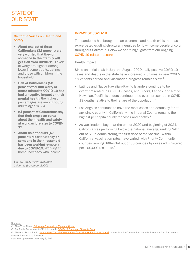## STATE OF OUR STATE

#### California Voices on Health and **Safety**

- About one out of three Californians (31 percent) are very worried that they or someone in their family will get sick from COVID-19. Levels of worry are highest among lower-income adults, Latinos, and those with children in the household.
- Half of Californians (50 percent) feel that worry or stress related to COVID-19 has had a negative impact on their mental health; the highest percentages are among young adults ages 18-34.
- 84 percent of Californians say that their employer cares about their health and safety at work as it relates to COVID-19.
- About half of adults (47 percent) report that they or someone in their household has been working remotely due to COVID-19. Working at home increases with income.

*Source: Public Policy Institute of California (December 2020)*

#### IMPACT OF COVID-19

The pandemic has brought on an economic and health crisis that has exacerbated existing structural inequities for low-income people of color throughout California. Below we share highlights from our ongoing [COVID-19-related research](https://irvine.box.com/s/ak7xfj1mg5zuboucrzstjwhd9wgvbsra).

#### Health Impact

Since an initial peak in July and August 2020, daily positive COVID-19 cases and deaths in the state have increased 2.5 times as new COVID-19 variants spread and vaccination progress remains slow. $1$ 

- Latinos and Native Hawaiian/Pacific Islanders continue to be overrepresented in COVID-19 cases, and Blacks, Latinos, and Native Hawaiian/Pacific Islanders continue to be overrepresented in COVID-19 deaths relative to their share of the population.<sup>2</sup>
- Los Angeles continues to have the most cases and deaths by far of any single county in California, while Imperial County remains the highest per capita county for cases and deaths. $1$
- As vaccinations began at the end of 2020 and beginning of 2021, California was performing below the national average, ranking 24th out of 51 in administering the first dose of the vaccine. Within California, vaccination rates have varied, with Priority Community counties ranking 39th-43rd out of 58 counties by doses administered per 100,000 residents.<sup>3</sup>

Sources:

(1) New York Times. [California Coronavirus Map and Count](https://www.nytimes.com/interactive/2020/us/california-coronavirus-cases.html).

(2) California Department of Public Health, [COVID-19 Race and Ethnicity Data](https://www.cdph.ca.gov/Programs/CID/DCDC/Pages/COVID-19/Race-Ethnicity.aspx).

(3) National Public Radio. [How is the COVID-19 Vaccination Campaign Going in Your State?](https://www.npr.org/sections/health-shots/2021/01/28/960901166/how-is-the-covid-19-vaccination-campaign-going-in-your-state) Irvine's Priority Communities include Riverside, San Bernardino, Fresno, Salinas, and Stockton.

Data last updated on February 3, 2021.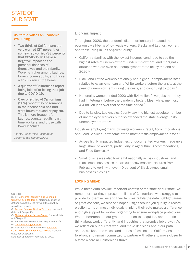## STATE OF OUR STATE

#### California Voices on Economic Well-Being

- Two-thirds of Californians are very worried (27 percent) or somewhat worried (38 percent) that COVID-19 will have a negative impact on the personal finances of themselves and their family. Worry is higher among Latinos, lower income adults, and those with children in the home.
- A quarter of Californians report being laid off or losing their job due to COVID-19.
- Over one-third of Californians (38%) report they or someone in their household has had work hours reduced or pay cut. This is more frequent for Latinos, younger adults, parttime workers, and those with lower incomes.

*Source: Public Policy Institute of California (December 2020)*

Sources:

[\(1\) PPIC. Income Inequality and Economic](https://www.ppic.org/wp-content/uploads/incoming-inequality-and-economic-opportunity-in-california-december-2020.pdf) Opportunity in California. Marginally attached defined as not looking for work though they

would like to work.

- (2) [Federal Reserve Bank of St. Louis.](https://fred.stlouisfed.org/series/LNU04000003) National data, not CA-specific.
- (3) [National Women's Law Center](https://nwlc.org/wp-content/uploads/2021/01/December-Jobs-Day.pdf). National data, not CA-specific.
- (4) Employment Development Department of CA. (5) [California Budget Center.](https://calbudgetcenter.org/wp-content/uploads/2020/04/CA_Budget_Center_COVID_Undocumented_Workers_04152020.pdf)

(6) Institute of Labor Economics. Impact of

[COVID-19 on Small Business Owners. Natio](http://ftp.iza.org/dp13311.pdf)nal

data, not CA-specific. Data last updated on February 3, 2021.

#### Economic Impact

Throughout 2020, the pandemic disproportionately impacted the economic well-being of low-wage workers, Blacks and Latinos, women, and those living in Los Angeles County.

- California families with the lowest incomes continued to see the highest rates of unemployment, underemployment, and marginally attached workers even as unemployment rates fell by the end of 2020.<sup>1</sup>
- Black and Latino workers nationally had higher unemployment rates relative to Asian American and White workers before the crisis, at the peak of unemployment during the crisis, and continuing to today.<sup>2</sup>
- Nationally, women ended 2020 with 5.4 million fewer jobs than they had in February, before the pandemic began. Meanwhile, men lost 4.4 million jobs over that same time period.<sup>3</sup>
- Due to its size, Los Angeles County saw the highest absolute number of unemployed workers but also exceeded the state average in its unemployment rate.<sup>4</sup>

Industries employing many low-wage workers - Retail, Accommodations, and Food Services - saw some of the most drastic employment losses.<sup>4</sup>

- Across highly impacted industries, undocumented workers made up a large share of workers, particularly in Agriculture, Accommodations, and Food Services.<sup>5</sup>
- Small businesses also took a hit nationally across industries, and Black small businesses in particular saw massive closures from February to April, with over 40 percent of Black-owned small businesses closing.<sup>6</sup>

#### LOOKING AHEAD

While these data provide important context of the state of our state, we remember that they represent millions of Californians who struggle to provide for themselves and their families. While the data highlight areas of great concern, we also see hopeful signs around job quality, a record election turnout, most individuals thinking their vote makes a difference, and high support for worker organizing to ensure workplace protections. We are heartened about greater attention to inequities, opportunities to think about work differently, and industries that promise job growth. As we reflect on our current work and make decisions about our path ahead, we keep the voices and stories of low-income Californians at the forefront and remain committed to partner with others to move closer to a state where all Californians thrive.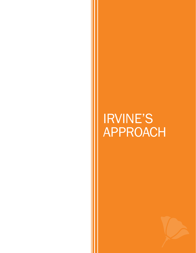<span id="page-9-0"></span>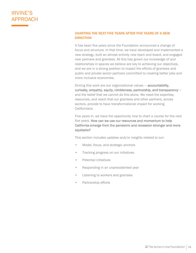#### CHARTING THE NEXT FIVE YEARS AFTER FIVE YEARS OF A NEW **DIRECTION**

It has been five years since the Foundation announced a change of focus and structure. In that time, we have developed and implemented a new strategy, built an almost entirely new team and board, and engaged new partners and grantees. All this has grown our knowledge of and relationships in spaces we believe are key to achieving our objectives, and we are in a strong position to impact the efforts of grantees and public and private sector partners committed to creating better jobs and more inclusive economies.

Driving this work are our organizational values — accountability, curiosity, empathy, equity, nimbleness, partnership, and transparency and the belief that we cannot do this alone. We need the expertise, resources, and reach that our grantees and other partners, across sectors, provide to have transformational impact for working Californians.

Five years in, we have the opportunity now to chart a course for the next five years. How can we use our resources and momentum to help California emerge from the pandemic and recession stronger and more equitable?

This section includes updates and/or insights related to our:

- Model, focus, and strategic anchors
- Tracking progress on our initiatives
- Potential initiatives
- Responding in an unprecedented year
- Listening to workers and grantees
- Partnership efforts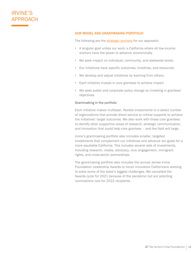#### OUR MODEL AND GRANTMAKING PORTFOLIO

The following are the **strategic anchors** for our approach:

- A singular goal unites our work: a California where all low-income workers have the power to advance economically.
- We seek impact on individual, community, and statewide levels.
- Our initiatives have specific outcomes, timelines, and resources.
- We develop and adjust initiatives by learning from others.
- Each initiative invests in core grantees to achieve impact.
- We seek public and corporate policy change by investing in grantees' objectives.

#### Grantmaking in the portfolio

Each initiative makes multiyear, flexible investments to a select number of organizations that provide direct service or critical supports to achieve the initiatives' target outcomes. We also work with these core grantees to identify other supportive areas of research, strategic communication, and innovation that could help core grantees – and the field writ large.

Irvine's grantmaking portfolio also includes smaller, targeted investments that complement our initiatives and advance our goals for a more equitable California. This includes several sets of investments, including research, media, advocacy, civic engagement, immigrant rights, and cross-sector partnerships.

The grantmaking portfolio also includes the annual James Irvine Foundation Leadership Awards to honor innovative Californians working to solve some of the state's biggest challenges. We cancelled the Awards cycle for 2021 because of the pandemic but are soliciting nominations now for 2022 recipients.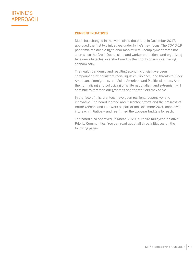#### CURRENT INITIATIVES

Much has changed in the world since the board, in December 2017, approved the first two initiatives under Irvine's new focus. The COVID-19 pandemic replaced a tight labor market with unemployment rates not seen since the Great Depression, and worker protections and organizing face new obstacles, overshadowed by the priority of simply surviving economically.

The health pandemic and resulting economic crisis have been compounded by persistent racial injustice, violence, and threats to Black Americans, immigrants, and Asian American and Pacific Islanders. And the normalizing and politicizing of White nationalism and extremism will continue to threaten our grantees and the workers they serve.

In the face of this, grantees have been resilient, responsive, and innovative. The board learned about grantee efforts and the progress of Better Careers and Fair Work as part of the December 2020 deep dives into each initiative – and reaffirmed the two-year budgets for each.

The board also approved, in March 2020, our third multiyear initiative: Priority Communities. You can read about all three initiatives on the following pages.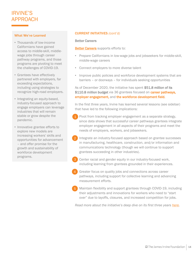#### What We've Learned

- Thousands of low-income Californians have gained access to middle-skill, middlewage jobs through career pathway programs, and those programs are pivoting to meet the challenges of COVID-19.
- Grantees have effectively partnered with employers, far exceeding expectations, including using strategies to recognize high-road employers.
- Integrating an equity-based, industry-focused approach to engage employers can leverage industries that will remain stable or grow despite the pandemic.
- Innovative grantee efforts to explore new models are increasing workers' skills and opportunities for advancement – and offer promise for the growth and sustainability of workforce development programs.

#### CURRENT INITIATIVES *(cont'd)*

#### Better Careers

#### [Better Careers](https://www.irvine.org/better-careers) supports efforts to:

- Prepare Californians in low-wage jobs and jobseekers for middle-skill, middle-wage careers
- Connect employers to more diverse talent
- Improve public policies and workforce development systems that are barriers – or doorways – for individuals seeking opportunities

As of December 2020, the initiative has spent \$51.8 million of its \$110.8 million budget via 36 grantees focused on career pathways, employer engagement, and the workforce development field.

In the first three years, Irvine has learned several lessons (see sidebar) that have led to the following implications:

- Pivot from tracking employer engagement as a separate strategy, since data shows that successful career pathways grantees integrate employer engagement in all aspects of their programs and meet the needs of employers, workers, and jobseekers.
- Integrate an industry-focused approach based on grantee successes in manufacturing, healthcare, construction, and/or information and communications technology (though we will continue to support grantees succeeding in other industries). 2
- Center racial and gender equity in our industry-focused work, including learning from grantees grounded in their experiences. 3
- Greater focus on quality jobs and connections across career pathways, including support for collective learning and advancing measurement efforts. 4
- Maintain flexibility and support grantees through COVID-19, including their adjustments and innovations for workers who need to "start over" due to layoffs, closures, and increased competition for jobs. 5

*Read more about the initiative's deep dive on its first three years [here](https://irvine.box.com/s/o5u81dy1xpxi7ef0ej1y8ndiig1o54le).*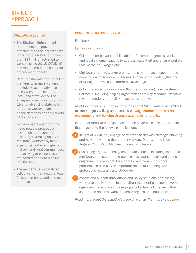#### What We've Learned

- The Strategic Enforcement Partnership has proven effective, with the largest cases in the state's history and more than \$17 million returned to workers since 2018. COVID-19 has made health and safety an enforcement priority.
- Core investments have enabled grantees to engage workers in multiple ways and advance policy wins at the industry, local, and state levels. The emergency response to COVID-19 and advancing state policy to protect workers placed added demands on the workers rights ecosystem.
- Workers rights organizations made notable progress on several shared agendas, including advancing equity in the state workforce system, expanding worker engagement in Black and rural communities, and arriving at consensus on the need for a talent pipeline into the field.
- The pandemic also catalyzed collective work among grantees focused on policy and shifting narratives.

#### CURRENT INITIATIVES *(cont'd)*

#### Fair Work

#### **[Fair Work](https://www.irvine.org/fair-work) supports:**

- Collaboration between public labor enforcement agencies, worker, and legal aid organizations to address wage theft and ensure workers receive their full wages due
- Multiyear grants to worker organizations that engage, support, and mobilize low-wage workers, informing them of their legal rights and elevating their voices to inform policy change
- Collaboration and innovation within the workers rights ecosystem in California, including helping organizations employ research, effective revenue models, and policy advocacy as a network

As of December 2020, the initiative has spent \$43.5 million of its \$89.6 million budget via 51 grants focused on wage enforcement, worker engagement, and building strong, sustainable nonprofits.

In the first three years, Irvine has learned several lessons (see sidebar) that have led to the following implications:

- In light of COVID-19, engage partners to assist with strategic planning and new innovations that protect workers. One example is Los Angeles County's public health councils initiative.
- Sustaining organizational gains remains critical, including continued multiyear, core support and technical assistance to expand online engagement of workers. Public sector and community-labor partnerships also play an important role in maintaining worker protections regionally and statewide. 2
- Assess and support innovations and policy solutions addressing workforce equity, efforts to strengthen the talent pipeline for worker organizations, and work to develop a collective policy agency that centers the needs of workers across regions and industries. 3

*Read more about the initiative's deep dive on its first three years [here](https://irvine.box.com/s/3hbi46uf07z2i9jge8im2a79nqd5ivsa).*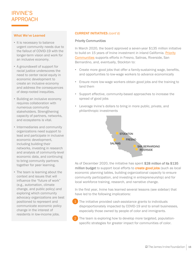#### What We've Learned

- It is necessary to balance urgent community needs due to the fallout of COVID-19 with the longer-term vision and work for an inclusive economy.
- A groundswell of support for racial justice underscores the need to center racial equity in economic development to create an inclusive economy and address the consequences of deep-rooted inequities.
- Building an inclusive economy requires collaboration with numerous community stakeholders. Strengthening capacity of partners, networks, and ecosystems is vital.
- Intermediaries and community organizations need support to lead and participate in inclusive economic development, including building their networks, investing in research and analysis of community-level economic data, and continuing to bring community partners together for peer learning.
- The team is learning about the context and issues that will influence the "future of work" (e.g., automation, climate change, and public policy) and exploring which community advocacy organizations are best positioned to represent and communicate economic policy change in the interest of residents in low-income jobs.

#### CURRENT INITIATIVES *(cont'd)*

#### Priority Communities

In March 2020, the board approved a seven-year \$135 million initiative to build on 15 years of Irvine investment in inland California. Priority Communities supports efforts in Fresno, Salinas, Riverside, San Bernardino, and, eventually, Stockton to:

- Create more good jobs that offer a family-sustaining wage, benefits, and opportunities to low-wage workers to advance economically
- Ensure more low-wage workers obtain good jobs and the training to land them
- Support effective, community-based approaches to increase the spread of good jobs
- Leverage Irvine's dollars to bring in more public, private, and philanthropic investments



As of December 2020, the initiative has spent \$28 million of its \$135 million budget to support local efforts to create good jobs (such as local economic planning tables, building organizational capacity to ensure community participation, and investing in entrepreneurship) and for local workforce training, research, and narrative change.

In the first year, Irvine has learned several lessons (see sidebar) that have led to the following implications:

- The initiative provided cash-assistance grants to individuals disproportionately impacted by COVID-19 and to small businesses, especially those owned by people of color and immigrants.
- The team is exploring how to develop more targeted, populationspecific strategies for greater impact for communities of color. 2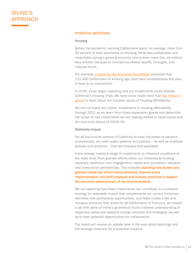#### POTENTIAL INITIATIVES

#### Housing

Before the pandemic, working Californians spent, on average, more than 30 percent of their paychecks on housing. What was unstainable and inequitable during a growing economy now is even more dire, as millions face eviction because of coronavirus-related layoffs, furloughs, and reduced hours.

For example, [a report by the Economic Roundtable](https://economicrt.org/publication/locked-out/) predicted that 131,400 Californians of working age could face homelessness this year, if there is no intervention.

In 2018, Irvine began exploring how our investments could address California's housing crisis. We have since made more than  $$9$  million in grants [to learn about the complex issues of housing affordability.](https://www.irvine.org/insights/exploring-our-role-in-making-housing-more-affordable-for-working-californians/)

We will not make any further investments in housing affordability through 2021 as we learn from these exploratory grants and determine the scope of new investments we are making related to racial equity and the economic fallout of COVID-19.

#### Statewide Impact

For all low-income workers in California to have the power to advance economically, we need public systems and policies – as well as employer policies and practices – that are inclusive and equitable.

Irvine already makes a range of investments to influence conditions at the state level, from grantee efforts within our initiatives to funding advocacy coalitions, civic engagement, media and journalism, research, and cross-sector partnerships. This includes exploring how worker and

grantee voices can inform policy solutions, improve policy implementation, and shift employer and industry practices to support the economic advancement of low-income workers.

We are exploring how these investments can contribute to a cohesive strategy for statewide impact that complements our current initiatives, identifies new partnership opportunities, and helps create a fair and inclusive economy that works for all Californians. In February, we hosted a lab with some of Irvine's grantees to build a shared understanding of respective policy and systems change priorities and strategies, as well as to hear potential opportunities for collaboration.

The board will receive an update later in the year about learnings and the strategic direction for a potential initiative.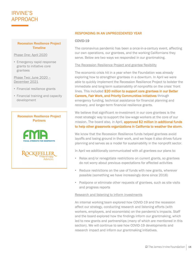#### Recession Resilience Project Timeline

#### Phase One: April 2020

• Emergency rapid response grants to initiative core grantees

Phase Two: June 2020 – December 2021

- Financial resilience grants
- Financial training and capacity development

#### Recession Resilience Project **Partners**





#### RESPONDING IN AN UNPRECEDENTED YEAR

#### COVID-19

The coronavirus pandemic has been a once-in-a-century event, affecting our own operations, our grantees, and the working Californians they serve. Below are two ways we responded in our grantmaking.

#### The Recession Resilience Project and grantee flexibility

The economic crisis hit in a year when the Foundation was already exploring how to strengthen grantees in a downturn. In April we were able to quickly implement the Recession Resilience Project to bolster the immediate and long-term sustainability of nonprofits on the crisis' front lines. This included \$20 million to support core grantees in our Better Careers, Fair Work, and Priority Communities initiatives through emergency funding, technical assistance for financial planning and recovery, and longer-term financial resilience grants.

We believe that significant re-investment in our core grantees is the most strategic way to support the low-wage workers at the core of our mission. The board also, in April, **approved \$2 million in additional funds** to help other grassroots organizations in California to weather the storm.

We know that the Recession Resilience funds helped grantees avoid layoffs and losing ground in their work, and we hope it also drives future planning and serves as a model for sustainability in the nonprofit sector.

In April we additionally communicated with all grantees our plans to:

- Relax and/or renegotiate restrictions on current grants, so grantees do not worry about previous expectations for affected activities
- Reduce restrictions on the use of funds with new grants, wherever possible (something we have increasingly done since 2016)
- Postpone or eliminate other requests of grantees, such as site visits and progress reports

#### Research and listening to inform investments

An internal working team explored how COVID-19 and the recession affect our strategy, conducting research and listening efforts (with workers, employers, and economists) on the pandemic's impacts. Staff and the board explored how the findings inform our grantmaking, which led to new grants and partnerships (many of which are mentioned in this section). We will continue to see how COVID-19 developments and research impact and inform our grantmaking initiatives.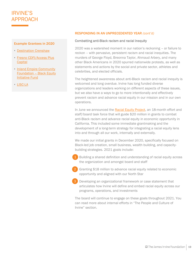#### Example Grantees in 2020

- [Destination Crenshaw](https://destinationcrenshaw.la/)
- [Fresno CDFI/Access Plus](https://www.accesspluscapital.com/) **Capital**
- [Inland Empire Community](https://www.iegives.org/funds/ieblackequityfund/)  Foundation – Black Equity Initiative Fund
- [LISC-LA](https://www.lisc.org/los-angeles/)

#### RESPONDING IN AN UNPRECEDENTED YEAR *(cont'd)*

#### Combatting anti-Black racism and racial inequity

2020 was a watershed moment in our nation's reckoning – or failure to reckon – with pervasive, persistent racism and racial inequities. The murders of George Floyd, Breonna Taylor, Ahmaud Arbery, and many other Black Americans in 2020 spurred nationwide protests, as well as statements and actions by the social and private sector, athletes and celebrities, and elected officials.

The heightened awareness about anti-Black racism and racial inequity is welcomed and long overdue. Irvine has long funded diverse organizations and leaders working on different aspects of these issues, but we also have a ways to go to more intentionally and effectively prevent racism and advance racial equity in our mission and in our own operations.

In June we announced the [Racial Equity Project,](https://www.irvine.org/insights/irvine-to-invest-20-million-in-additional-funding-for-racial-equity/) an 18-month effort and staff/board task force that will guide \$20 million in grants to combat anti-Black racism and advance racial equity in economic opportunity in California. This included some immediate grantmaking and the development of a long-term strategy for integrating a racial equity lens into and through all our work, internally and externally.

We made our initial grants in December 2020, specifically focused on Black-led job creation, small business, wealth building, and capacitybuilding strategies. 2021 goals include:

• Building a shared definition and understanding of racial equity across the organization and amongst board and staff

• Granting \$18 million to advance racial equity related to economic opportunity and aligned with our North Star 2

• Developing an organizational framework or case statement that articulates how Irvine will define and embed racial equity across our programs, operations, and investments 3

The board will continue to engage on these goals throughout 2021. You can read more about internal efforts in "The People and Culture of Irvine" section.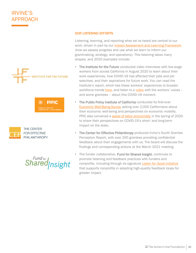





**Shared** nsight

#### OUR LISTENING EFFORTS

Listening, learning, and reporting what we've heard are central to our work, driven in part by our *Impact Assessment and Learning Framework* (how we assess progress and use what we learn to inform our grantmaking, strategy, and operations). This listening takes many shapes, and 2020 examples include:

- The Institute for the Future conducted video interviews with low-wage workers from across California in August 2020 to learn about their work experiences, how COVID-19 has affected their jobs and job searches, and their aspirations for future work. You can read the Institute's report, which ties these workers' experiences to broader workforce trends [here,](https://www.iftf.org/caworkervoices/) and listen to a [video](https://www.youtube.com/watch?v=yL4aqoexZ8A) with the workers' voices – and some grantees – about this COVID-19 moment.
- The Public Policy Institute of California conducted its first-ever [Economic Well-Being Survey](https://www.ppic.org/publication/ppic-statewide-survey-californians-and-their-economic-well-being-december-2020/) asking over 2,000 Californians about their economic well-being and perspectives on economic mobility. PPIC also convened a **[panel of labor economists](https://www.ppic.org/publication/income-inequality-and-economic-opportunity-in-california/)** in the spring of 2020 to share their perspectives on COVID-19's short- and long-term impact on the state.
- The Center for Effective Philanthropy produced Irvine's fourth Grantee Perception Report, with over 200 grantees providing confidential feedback about their engagements with us. The board will discuss the findings and corresponding actions at the March 2021 meeting.
- The funder collaborative, Fund for Shared Insight, continues to promote listening and feedback practices with funders and nonprofits, including through its signature [Listen for Good initiative](https://www.fundforsharedinsight.org/listen4good/) that supports nonprofits in adopting high-quality feedback loops for greater impact.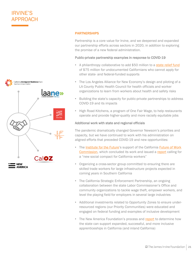

#### **PARTNERSHIPS**

Partnership is a core value for Irvine, and we deepened and expanded our partnership efforts across sectors in 2020, in addition to exploring the promise of a new federal administration.

#### Public-private partnership examples in response to COVID-19

- A philanthropy collaborative to add \$50 million to a [state relief fund](https://www.gov.ca.gov/2020/04/15/governor-newsom-announces-new-initiatives-to-support-california-workers-impacted-by-covid-19/) of \$75 million for undocumented Californians who cannot apply for other state- and federal-funded supports
- The Los Angeles Alliance for New Economy's design and piloting of a LA County Public Health Council for health officials and worker organizations to learn from workers about health and safety risks
- Building the state's capacity for public-private partnerships to address COVID-19 and its impacts
- High Road Kitchens, a program of One Fair Wage, to help restaurants operate and provide higher-quality and more racially equitable jobs

#### Additional work with state and regional officials

The pandemic dramatically changed Governor Newsom's priorities and capacity, but we have continued to work with his administration on aligned efforts that preceded COVID-19 and new opportunities:

- The [Institute for the Future](https://www.iftf.org/)'s support of the California **Future of Work** [Commission, which concluded its work and issued a report](https://www.labor.ca.gov/labor-and-workforce-development-agency/fowc/members/) calling for a "new social compact for California workers"
- Organizing a cross-sector group committed to ensuring there are skilled trade workers for large infrastructure projects expected in coming years in Southern California
- The California Strategic Enforcement Partnership, an ongoing collaboration between the state Labor Commissioner's Office and community organizations to tackle wage theft, empower workers, and level the playing field for employers in several large industries
- Additional investments related to Opportunity Zones to ensure underresourced regions (our Priority Communities) were educated and engaged on federal funding and examples of inclusive development
- The New America Foundation's process and [report](https://www.newamerica.org/education-policy/reports/road-500000-apprentices/) to determine how the state can support expanded, successful, and more inclusive apprenticeships in California (and inland California)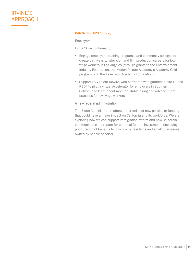#### PARTNERSHIPS *(cont'd)*

#### Employers

In 2020 we continued to:

- Engage employers, training programs, and community colleges to create pathways to television and film production careers for lowwage workers in Los Angeles (through grants to the Entertainment Industry Foundation, the Motion Picture Academy's Academy Gold program, and the Television Academy Foundation)
- Support FSG Talent Rewire, who partnered with grantees Unite-LA and REDF to pilot a virtual Accelerator for employers in Southern California to learn about more equitable hiring and advancement practices for low-wage workers

#### A new federal administration

The Biden Administration offers the promise of new policies or funding that could have a major impact on California and its workforce. We are exploring how we can support immigration reform and how California communities can prepare for potential federal investments (including a prioritization of benefits to low-income residents and small businesses owned by people of color).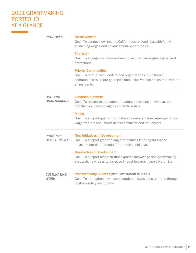## 2021 GRANTMAKING PORTFOLIO AT A GLANCE

 $\label{eq:2} \mathcal{L} = \left\{ \begin{array}{ll} \mathcal{L}^{\text{max}}_{\text{max}} & \mathcal{L}^{\text{max}}_{\text{max}} \\ \mathcal{L}^{\text{max}}_{\text{max}} & \mathcal{L}^{\text{max}}_{\text{max}} \end{array} \right. \ .$ 

| <b>INITIATIVES</b>                   | <b>Better Careers</b><br>Goal: To connect low-income Californians to good jobs with family-<br>sustaining wages and advancement opportunities.                                                                                                                                                                                                |
|--------------------------------------|-----------------------------------------------------------------------------------------------------------------------------------------------------------------------------------------------------------------------------------------------------------------------------------------------------------------------------------------------|
|                                      | <b>Fair Work</b><br>Goal: To engage low-wage workers to secure their wages, rights, and<br>protections.                                                                                                                                                                                                                                       |
|                                      | <b>Priority Communities</b><br>Goal: To partner with leaders and organizations in California<br>communities to create good jobs and inclusive economies that work for<br>all residents.                                                                                                                                                       |
| <b>ONGOING</b><br><b>GRANTMAKING</b> | <b>Leadership Awards</b><br>Goal: To recognize and support leaders advancing innovative and<br>effective solutions to significant state issues.<br><b>Media</b><br>Goal: To support quality information to elevate the experiences of low-<br>wage workers and inform decision-makers and influencers.                                        |
| <b>PROGRAM</b><br><b>DEVELOPMENT</b> | <b>New Initiatives in Development</b><br>Goal: To support grantmaking that enables learning during the<br>development of a potential future Irvine initiative.<br><b>Research and Development</b><br>Goal: To support research that expands knowledge and grantmaking<br>that tests new ideas to increase impact towards Irvine's North Star. |
| <b>CULMINATING</b><br><b>WORK</b>    | <b>Postsecondary Success (final investment in 2021)</b><br>Goal: To strengthen low-income students' transitions to - and through -<br>postsecondary institutions.                                                                                                                                                                             |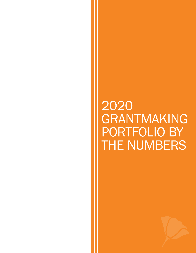## <span id="page-23-0"></span>2020 GRANTMAKING PORTFOLIO BY THE NUMBERS

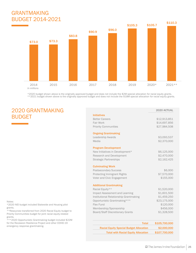## GRANTMAKING BUDGET 2014-2021



\*2020 budget shown above is the originally approved budget and does not include the \$2M special allocation for racial equity grants. \*\*2021 budget shown above is the originally approved budget and does not include the \$18M special allocation for racial equity grants.

### 2020 GRANTMAKING BUDGET

| <b>Initiatives</b>                      |              |
|-----------------------------------------|--------------|
| <b>Better Careers</b>                   | \$12,913,851 |
| Fair Work                               | \$14,697,856 |
| <b>Priority Communities</b>             | \$27,984,508 |
| <b>Ongoing Grantmaking</b>              |              |
| Leadership Awards                       | \$3,093,537  |
| Media                                   | \$2,370,000  |
| <b>Program Development</b>              |              |
| New Initiatives in Development*         | \$6,125,000  |
| <b>Research and Development</b>         | \$2,470,000  |
| <b>Strategic Partnerships</b>           | \$2,162,425  |
| <b>Culminating Work</b>                 |              |
| <b>Postsecondary Success</b>            | \$6,000      |
| <b>Protecting Immigrant Rights</b>      | \$7,570,000  |
| Voter and Civic Engagement              | \$155,000    |
| <b>Additional Grantmaking</b>           |              |
| Racial Equity**                         | \$1,520,000  |
| Impact Assessment and Learning          | \$1,601,500  |
| Institutional Relationship Grantmaking  | \$1,459,250  |
| Opportunistic Grantmaking***            | \$23,175,000 |
| Flex Fund                               | \$120,000    |
| Membership/Sponsorship                  | \$456,000    |
| <b>Board/Staff Discretionary Grants</b> | \$1,328,500  |
|                                         |              |

| \$105,700,000 | Total                                          |
|---------------|------------------------------------------------|
| \$2,000,000   | <b>Racial Equity Special Budget Allocation</b> |
| \$107,700,000 | <b>Total with Racial Equity Allocation</b>     |

Notes:

\*2020 NID budget included Statewide and Housing pilot grants.

\*\*Resources transferred from 2020 Racial Equity budget to Priority Communities budget for joint racial equity-related grants.

\*\*\*2020 Opportunistic Grantmaking budget included \$22M for the Recession Resilience Project and other COVID-19 emergency response grantmaking.

2020 ACTUAL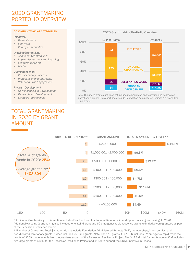## 2020 GRANTMAKING PORTFOLIO OVERVIEW

#### 2020 GRANTMAKING CATEGORIES

#### **Initiatives**

- *Better Careers*
- *Fair Work*
- *Priority Communities*

#### Ongoing Grantmaking

- *Additional Grantmaking\**
- *Impact Assessment and Learning*
- *Leadership Awards*
- *Media*

#### Culminating Work

- *Postsecondary Success*
- *Protecting Immigrant Rights*
- *Voter and Civic Engagement*

#### Program Development

- *New Initiatives in Development*
- *Research and Development*
- *Strategic Partnerships*

## TOTAL GRANTMAKING IN 2020 BY GRANT AMOUNT





Note: The above grants data does not include memberships/sponsorships and board/staff discretionary grants. This chart does include Foundation Administered Projects (FAP) and Flex Fund grants.



\*Additional Grantmaking in this section includes Flex Fund and Institutional Relationship and Opportunistic grantmaking. In 2020, Additional/Ongoing Grantmaking also included one \$18M grant and 62 emergency rapid response grants to initiative core grantees as part of the Recession Resilience Project.

\*\*Number of Grants and Total \$ Amount do not include Foundation Administered Projects (FAP), memberships/sponsorships, and board/staff discretionary grants. It does include Flex Fund grants. Note: The 110 grants <= \$100K includes 62 emergency rapid response grants of \$25K made to initiative core grantees as part of the Recession Resilience Project. The \$44.3M total for grants above \$2M includes two large grants of \$18M for the Recession Resilience Project and \$15M to support the DRIVE initiative in Fresno.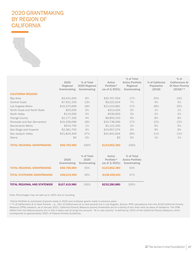## 2020 GRANTMAKING BY REGION OF **CALIFORNIA**



|                                     | 2020<br>Regional<br>Grantmaking | % of Total<br>2020 Regional<br>Grantmaking | Active<br>Portfolio*<br>(as of $2/2021$ ) | % of Total<br><b>Active Portfolio</b><br>Regional<br>Grantmaking | % of California<br>Population<br>(2018) | $%$ of<br><b>Californians At</b><br>Or Near Poverty<br>$(2018)$ ** |
|-------------------------------------|---------------------------------|--------------------------------------------|-------------------------------------------|------------------------------------------------------------------|-----------------------------------------|--------------------------------------------------------------------|
| <b>CALIFORNIA REGIONS</b>           |                                 |                                            |                                           |                                                                  |                                         |                                                                    |
| Bay Area                            | \$3,441,000                     | 6%                                         | \$20,767,554                              | 17%                                                              | 20%                                     | 15%                                                                |
| <b>Central Coast</b>                | \$7,501,150                     | 13%                                        | \$9,222,024                               | 7%                                                               | 4%                                      | 4%                                                                 |
| Los Angeles Metro                   | \$10,370,699                    | 18%                                        | \$21,010,681                              | 17%                                                              | 28%                                     | 33%                                                                |
| North Coast and North State         | \$25,000                        | 0%                                         | \$313,024                                 | O%                                                               | $1\%$                                   | $1\%$                                                              |
| North Valley                        | \$110,000                       | O%                                         | \$530,600                                 | O%                                                               | 2%                                      | 2%                                                                 |
| Orange County                       | \$2,177,100                     | 4%                                         | \$6,850,150                               | 6%                                                               | 8%                                      | 8%                                                                 |
| Riverside and San Bernardino        | \$10,339,096                    | 18%                                        | \$20,738,399                              | 17%                                                              | 12%                                     | 12%                                                                |
| Sacramento Metro                    | \$615,750                       | $1\%$                                      | \$2,121,250                               | 2%                                                               | 6%                                      | 5%                                                                 |
| San Diego and Imperial              | \$2,381,750                     | 4%                                         | \$10,657,074                              | 9%                                                               | 9%                                      | 9%                                                                 |
| San Joaquin Valley                  | \$21,824,344                    | 37%                                        | \$31,641,624                              | 26%                                                              | 11%                                     | 11%                                                                |
| Sierra                              | \$0                             | O%                                         | \$0                                       | O%                                                               | $1\%$                                   | $1\%$                                                              |
| <b>TOTAL REGIONAL GRANTMAKING</b>   | \$58,785,989                    | 100%                                       | \$123,852,380                             | 100%                                                             |                                         |                                                                    |
|                                     | 2020<br>Grantmaking             | % of Total<br>2020<br>Grantmaking          | Active<br>Portfolio*<br>(as of $2/2021$ ) | % of Total<br><b>Active Portfolio</b><br>Grantmaking             |                                         |                                                                    |
| <b>TOTAL REGIONAL GRANTMAKING</b>   | \$58,785,989                    | 55%                                        | \$123,852,380                             | 53%                                                              |                                         |                                                                    |
| <b>TOTAL STATEWIDE GRANTMAKING</b>  | \$48,633,990                    | 45%                                        | \$108,428,500                             | 47%                                                              |                                         |                                                                    |
| <b>TOTAL REGIONAL AND STATEWIDE</b> | \$107,419,980                   | 100%                                       | \$232,280,880                             | 100%                                                             |                                         |                                                                    |

Note: Percentages may not add up to 100% due to rounding.

\*Active Portfolio is comprised of grants made in 2020 and multiyear grants made in previous years.

\*\*% of Californians At or Near Poverty - i.e., 33% of Californians at or near poverty live in Los Angeles. Source: PPIC calculations from the 2018 California Poverty Measure (CPM) research, as of January 2021. California Poverty Measure poverty thresholds are for a family of four that rents its place of residence. The CPM differs from the federal poverty line in that it takes cost of living into account. "At or near poverty" is defined as 150% of the California Poverty Measure, which corresponds to approximately 250% of Federal Poverty Guidelines.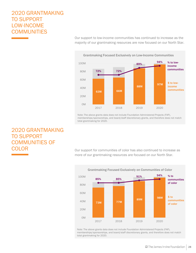## 2020 GRANTMAKING TO SUPPORT LOW-INCOME **COMMUNITIES**

63M 66M 88M 97M 72% 72% 89% 94% 0M 20M 40M 60M 80M 100M 2017 2018 2019 2020 % to lowincome communities \$ to lowincome communities

Our support to low-income communities has continued to increase as the majority of our grantmaking resources are now focused on our North Star.

Note: The above grants data does not include Foundation Administered Projects (FAP), memberships/sponsorships, and board/staff discretionary grants, and therefore does not match total grantmaking for 2020.

## 2020 GRANTMAKING TO SUPPORT COMMUNITIES OF **COLOR**

Our support for communities of color has also continued to increase as more of our grantmaking resources are focused on our North Star.



Note: The above grants data does not include Foundation Administered Projects (FAP), memberships/sponsorships, and board/staff discretionary grants, and therefore does not match total grantmaking for 2020.

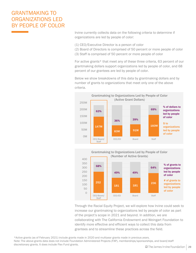## GRANTMAKING TO ORGANIZATIONS LED BY PEOPLE OF COLOR

Irvine currently collects data on the following criteria to determine if organizations are led by people of color:

- (1) CEO/Executive Director is a person of color
- (2) Board of Directors is comprised of 50 percent or more people of color
- (3) Staff is comprised of 50 percent or more people of color

For active grants\* that meet any of these three criteria, 63 percent of our grantmaking dollars support organizations led by people of color, and 68 percent of our grantees are led by people of color.

Below we show breakdowns of this data by grantmaking dollars and by number of grants to organizations that meet only one of the above criteria.





Through the Racial Equity Project, we will explore how Irvine could seek to increase our grantmaking to organizations led by people of color as part of the project's scope in 2021 and beyond. In addition, we are collaborating with The California Endowment and Weingart Foundation to identify more effective and efficient ways to collect this data from grantees and to streamline these practices across the field.

\*Active grants (as of February 2021) include grants made in 2020 and multiyear grants made in previous years. Note: The above grants data does not include Foundation Administered Projects (FAP), memberships/sponsorships, and board/staff discretionary grants. It does include Flex Fund grants.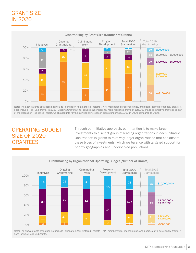## GRANT SIZE IN 2020



Note: The above grants data does not include Foundation Administered Projects (FAP), memberships/sponsorships, and board/staff discretionary grants. It does include Flex Fund grants. In 2020, Ongoing Grantmaking included 62 emergency rapid response grants of \$25,000 made to initiative grantees as part of the Recession Resilience Project, which accounts for the significant increase in grants under \$150,000 in 2020 compared to 2019.

## OPERATING BUDGET SIZE OF 2020 GRANTEES

Through our initiative approach, our intention is to make larger investments to a select group of leading organizations in each initiative. One tradeoff is grants to relatively larger organizations that can absorb these types of investments, which we balance with targeted support for priority geographies and underserved populations.



#### Grantmaking by Organizational Operating Budget (Number of Grants)

Note: The above grants data does not include Foundation Administered Projects (FAP), memberships/sponsorships, and board/staff discretionary grants. It does include Flex Fund grants.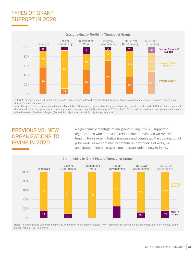## TYPES OF GRANT SUPPORT IN 2020



\*Flexible project support is funding that provides organizations with wide-ranging flexibility to meet a set of goals and expected outcomes agreed upon during the proposal process.

Note: The above grants data does not include Foundation Administered Projects (FAP), memberships/sponsorships, and board/staff discretionary grants. It does include Flex Fund grants, which are under project support. Ongoing Grantmaking in 2020 included 62 emergency rapid response grants made as part of the Recession Resilience Project (60 flexible project support and 2 project support grants).

## PREVIOUS VS. NEW ORGANIZATIONS TO IRVINE IN 2020

A significant percentage of our grantmaking in 2020 supported organizations with a previous relationship to Irvine, as we renewed funding for several initiative grantees and completed the culmination of prior work. As we continue to embark on new bodies of work, we anticipate an increase over time in organizations new to Irvine.



#### Grantmaking by Grant History (Number of Grants)

Note: The above grants data does not include Foundation Administered Projects (FAP), memberships/sponsorships, and board/staff discretionary grants. It does include Flex Fund grants.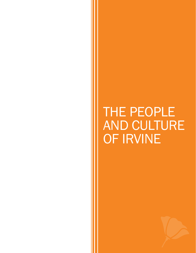<span id="page-31-0"></span>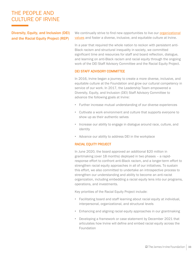Diversity, Equity, and Inclusion (DEI) and the Racial Equity Project (REP)

We continually strive to find new opportunities to live our **organizational** values [and foster a diverse, inclusive, and equitable culture at Irvine.](https://irvine.box.com/s/t4xquen3z24neqod65hyv4jcipw3ex00) 

In a year that required the whole nation to reckon with persistent anti-Black racism and structural inequality in society, we committed significant time and resources for staff and board reflection, dialogue, and learning on anti-Black racism and racial equity through the ongoing work of the DEI Staff Advisory Committee and the Racial Equity Project.

#### DEI STAFF ADVISORY COMMITTEE

In 2016, Irvine began a journey to create a more diverse, inclusive, and equitable culture at the Foundation and grow our cultural competency in service of our work. In 2017, the Leadership Team empowered a Diversity, Equity, and Inclusion (DEI) Staff Advisory Committee to advance the following goals at Irvine:

- Further increase mutual understanding of our diverse experiences
- Cultivate a work environment and culture that supports everyone to show up as their authentic selves
- Increase our ability to engage in dialogue around race, culture, and identity
- Advance our ability to address DEI in the workplace

#### RACIAL EQUITY PROJECT

In June 2020, the board approved an additional \$20 million in grantmaking (over 18 months) deployed in two phases – a rapidresponse effort to confront anti-Black racism, and a longer-term effort to strengthen racial equity approaches in all of our initiatives. To sustain this effort, we also committed to undertake an introspective process to strengthen our understanding and ability to become an anti-racist organization, including embedding a racial equity lens into our programs, operations, and investments.

Key priorities of the Racial Equity Project include:

- Facilitating board and staff learning about racial equity at individual, interpersonal, organizational, and structural levels
- Enhancing and aligning racial equity approaches in our grantmaking
- Developing a framework or case statement by December 2021 that articulates how Irvine will define and embed racial equity across the Foundation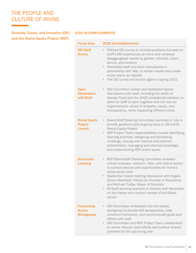Diversity, Equity, and Inclusion (DEI) 2020 ACCOMPLISHMENTS and the Racial Equity Project (REP)

| <b>Focus Area</b>                                        | 2020 Accomplishments                                                                                                                                                                                                                                                                                                                                                                                                                                                            |
|----------------------------------------------------------|---------------------------------------------------------------------------------------------------------------------------------------------------------------------------------------------------------------------------------------------------------------------------------------------------------------------------------------------------------------------------------------------------------------------------------------------------------------------------------|
| <b>DEI Staff</b><br><b>Survey</b>                        | Refined DEI survey to include questions focused on<br>$\bullet$<br>staff's DEI experiences at Irvine and reviewed<br>disaggregated results by gender, ethnicity, team,<br>tenure, and location<br>Facilitated staff and team discussions in<br>$\bullet$<br>partnership with IA&L to review results and create<br>action plans as needed<br>The DEI survey will launch again in Spring 2021<br>$\bullet$                                                                        |
| <b>Open</b><br><b>Discussions</b><br>with Staff          | DEI Committee hosted and facilitated topical<br>$\bullet$<br>discussions with staff, including the death of<br>George Floyd and the 2020 presidential election, to<br>allow for staff to learn together and live out our<br>organizational values of empathy, equity, and<br>transparency, while respecting different views                                                                                                                                                     |
| <b>Racial Equity</b><br><b>Project</b><br><b>Launch</b>  | Board-Staff Steering Committee launched in July to<br>$\bullet$<br>provide guidance and ongoing input to 18-month<br><b>Racial Equity Project</b><br>REP Project Team responsibilities include identifying<br>$\qquad \qquad \bullet$<br>learning priorities, designing and facilitating<br>meetings, liaising with internal and external<br>stakeholders, managing and sharing knowledge,<br>and implementing REP action plans                                                 |
| <b>Structured</b><br><b>Learning</b>                     | REP Board-Staff Steering Committee reviewed<br>$\bullet$<br>critical analyses, research, data, and calls-to-action<br>to surface lessons and opportunities for Irvine's<br>racial equity work<br>September board meeting discussion with Angela<br>$\bullet$<br>Glover Blackwell, PolicyLink Founder in Residence,<br>and Michael Tubbs, Mayor of Stockton<br>All-Staff learning sessions in October and November<br>on the history and current context of anti-Black<br>racism |
| <b>Partnership</b><br><b>Across</b><br><b>Workgroups</b> | DEI Committee embedded into the Values<br>$\bullet$<br>workgroup to provide DEI perspectives, help<br>construct framework, and communicate goals and<br>efforts with staff<br>DEI Committee and REP Project Team collaborated<br>$\bullet$<br>to review relevant past efforts and surface shared<br>priorities for the upcoming year                                                                                                                                            |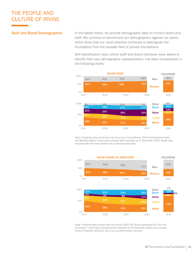#### Staff and Board Demographics

In the tables below, we provide demographic data on Irvine's board and staff. We continue to benchmark our demographics against our peers, which show that our racial diversity continues to distinguish the Foundation from the broader field of private foundations.

Self-identification data, where staff and board members were asked to identify their own demographic representation, has been incorporated in the following charts:



Note: Fieldwide data comes from the Council on Foundations, 2020 Grantmakers Salary and Benefits Report. Irvine data includes staff members as of December 2020. Graph may exclude staff who have chosen not to disclose their data.



Note: Fieldwide data comes from the Croner 2020 DEI Survey sponsored by The Ford Foundation. Irvine data includes board members as of December 2020, and includes Irvine's President and CEO, who is an ex-officio board member.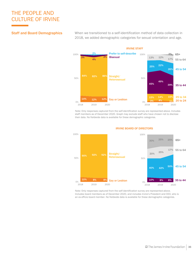#### Staff and Board Demographics

When we transitioned to a self-identification method of data collection in 2018, we added demographic categories for sexual orientation and age.



Note: Only responses captured from the self-identification survey are represented above. Includes staff members as of December 2020. Graph may exclude staff who have chosen not to disclose their data. No fieldwide data is available for these demographic categories.



#### IRVINE BOARD OF DIRECTORS

Note: Only responses captured from the self-identification survey are represented above. Includes board members as of December 2020, and includes Irvine's President and CEO, who is an ex-officio board member. No fieldwide data is available for these demographic categories.